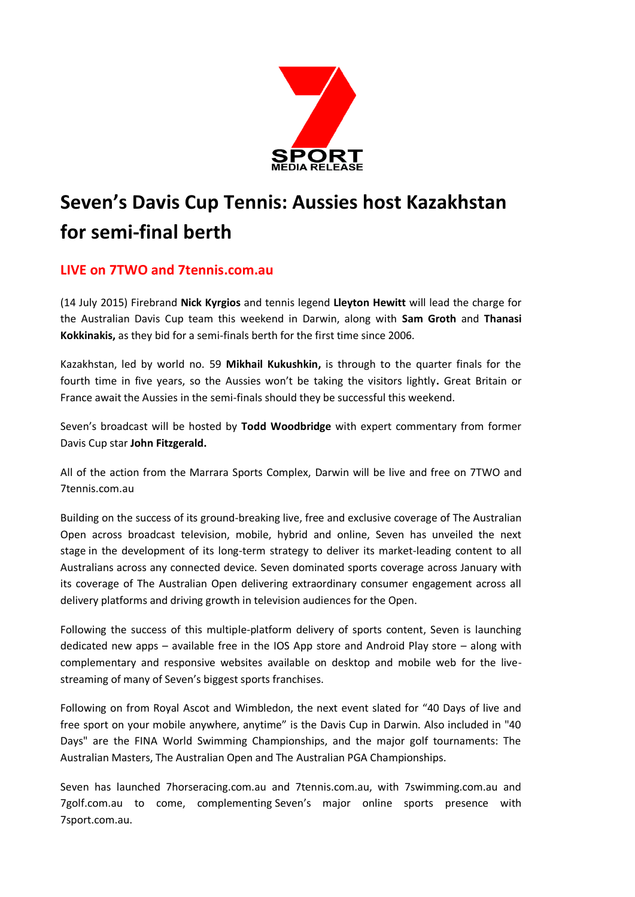

# **Seven's Davis Cup Tennis: Aussies host Kazakhstan for semi-final berth**

# **LIVE on 7TWO and 7tennis.com.au**

(14 July 2015) Firebrand **Nick Kyrgios** and tennis legend **Lleyton Hewitt** will lead the charge for the Australian Davis Cup team this weekend in Darwin, along with **Sam Groth** and **Thanasi Kokkinakis,** as they bid for a semi-finals berth for the first time since 2006.

Kazakhstan, led by world no. 59 **Mikhail Kukushkin,** is through to the quarter finals for the fourth time in five years, so the Aussies won't be taking the visitors lightly**.** Great Britain or France await the Aussies in the semi-finals should they be successful this weekend.

Seven's broadcast will be hosted by **Todd Woodbridge** with expert commentary from former Davis Cup star **John Fitzgerald.**

All of the action from the Marrara Sports Complex, Darwin will be live and free on 7TWO and 7tennis.com.au

Building on the success of its ground-breaking live, free and exclusive coverage of The Australian Open across broadcast television, mobile, hybrid and online, Seven has unveiled the next stage in the development of its long-term strategy to deliver its market-leading content to all Australians across any connected device. Seven dominated sports coverage across January with its coverage of The Australian Open delivering extraordinary consumer engagement across all delivery platforms and driving growth in television audiences for the Open.

Following the success of this multiple-platform delivery of sports content, Seven is launching dedicated new apps – available free in the IOS App store and Android Play store – along with complementary and responsive websites available on desktop and mobile web for the livestreaming of many of Seven's biggest sports franchises.

Following on from Royal Ascot and Wimbledon, the next event slated for "40 Days of live and free sport on your mobile anywhere, anytime" is the Davis Cup in Darwin. Also included in "40 Days" are the FINA World Swimming Championships, and the major golf tournaments: The Australian Masters, The Australian Open and The Australian PGA Championships.

Seven has launched 7horseracing.com.au and 7tennis.com.au, with 7swimming.com.au and 7golf.com.au to come, complementing Seven's major online sports presence with 7sport.com.au.